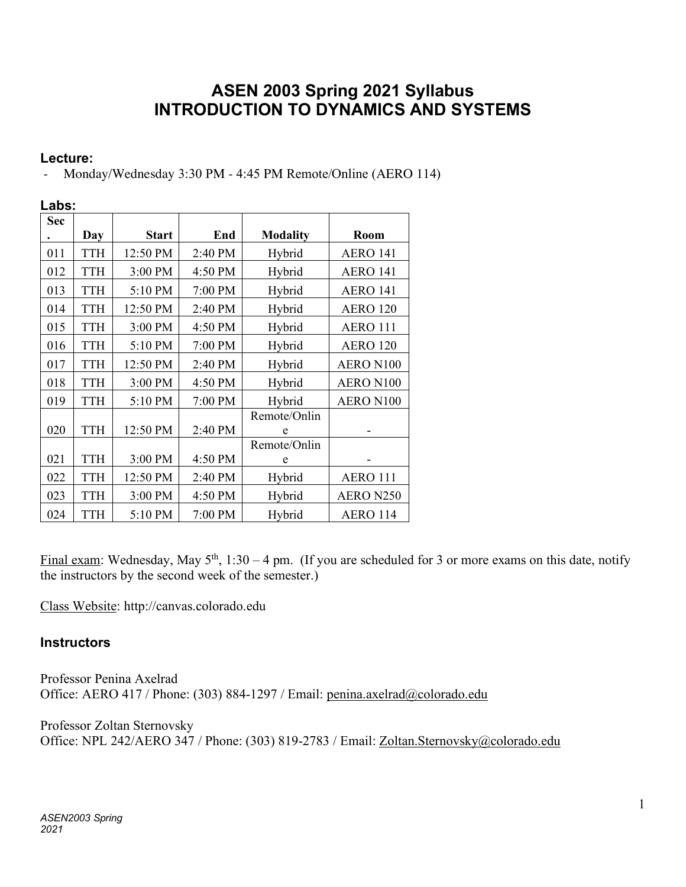# **ASEN 2003 Spring 2021 Syllabus INTRODUCTION TO DYNAMICS AND SYSTEMS**

### **Lecture:**

Monday/Wednesday 3:30 PM - 4:45 PM Remote/Online (AERO 114)

| Labs:      |            |              |         |                 |                 |  |  |
|------------|------------|--------------|---------|-----------------|-----------------|--|--|
| <b>Sec</b> |            |              |         |                 |                 |  |  |
|            | Day        | <b>Start</b> | End     | <b>Modality</b> | Room            |  |  |
| 011        | <b>TTH</b> | 12:50 PM     | 2:40 PM | Hybrid          | <b>AERO 141</b> |  |  |
| 012        | <b>TTH</b> | 3:00 PM      | 4:50 PM | Hybrid          | <b>AERO 141</b> |  |  |
| 013        | <b>TTH</b> | 5:10 PM      | 7:00 PM | Hybrid          | <b>AERO 141</b> |  |  |
| 014        | <b>TTH</b> | 12:50 PM     | 2:40 PM | Hybrid          | <b>AERO 120</b> |  |  |
| 015        | <b>TTH</b> | 3:00 PM      | 4:50 PM | Hybrid          | <b>AERO 111</b> |  |  |
| 016        | <b>TTH</b> | 5:10 PM      | 7:00 PM | Hybrid          | <b>AERO 120</b> |  |  |
| 017        | <b>TTH</b> | 12:50 PM     | 2:40 PM | Hybrid          | AERO N100       |  |  |
| 018        | <b>TTH</b> | 3:00 PM      | 4:50 PM | Hybrid          | AERO N100       |  |  |
| 019        | <b>TTH</b> | 5:10 PM      | 7:00 PM | Hybrid          | AERO N100       |  |  |
|            |            |              |         | Remote/Onlin    |                 |  |  |
| 020        | <b>TTH</b> | 12:50 PM     | 2:40 PM | e               |                 |  |  |
|            |            |              |         | Remote/Onlin    |                 |  |  |
| 021        | <b>TTH</b> | 3:00 PM      | 4:50 PM | e               |                 |  |  |
| 022        | <b>TTH</b> | 12:50 PM     | 2:40 PM | Hybrid          | <b>AERO 111</b> |  |  |
| 023        | <b>TTH</b> | 3:00 PM      | 4:50 PM | Hybrid          | AERO N250       |  |  |
| 024        | <b>TTH</b> | 5:10 PM      | 7:00 PM | Hybrid          | <b>AERO 114</b> |  |  |

Final exam: Wednesday, May  $5<sup>th</sup>$ , 1:30 – 4 pm. (If you are scheduled for 3 or more exams on this date, notify the instructors by the second week of the semester.)

Class Website: http://canvas.colorado.edu

## **Instructors**

Professor Penina Axelrad Office: AERO 417 / Phone: (303) 884-1297 / Email: penina.axelrad@colorado.edu

Professor Zoltan Sternovsky Office: NPL 242/AERO 347 / Phone: (303) 819-2783 / Email: Zoltan.Sternovsky@colorado.edu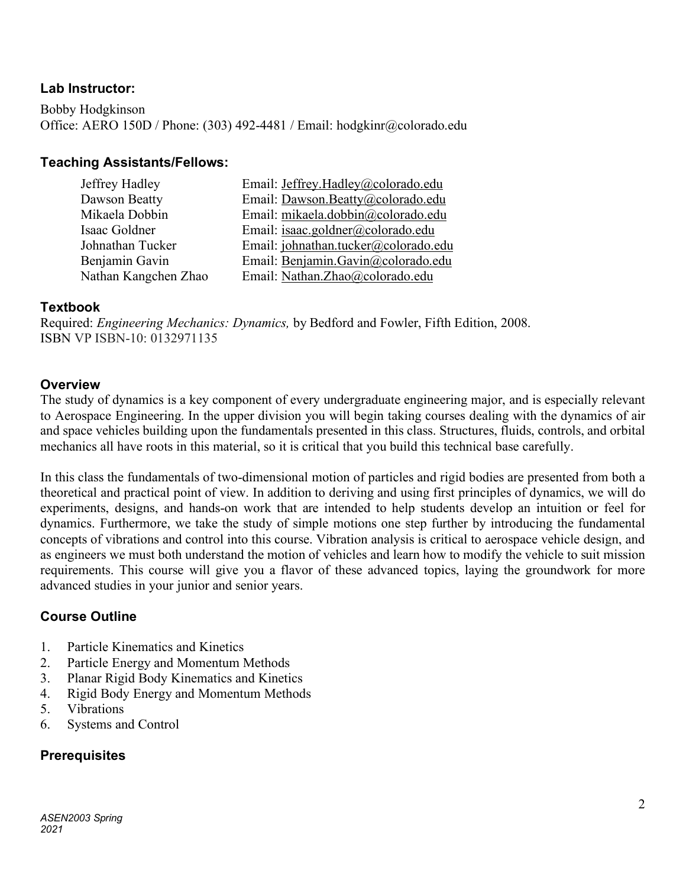### **Lab Instructor:**

Bobby Hodgkinson Office: AERO 150D / Phone: (303) 492-4481 / Email: hodgkinr@colorado.edu

### **Teaching Assistants/Fellows:**

| Jeffrey Hadley       | Email: <i>Jeffrey.Hadley@colorado.edu</i> |
|----------------------|-------------------------------------------|
| Dawson Beatty        | Email: Dawson.Beatty@colorado.edu         |
| Mikaela Dobbin       | Email: mikaela.dobbin@colorado.edu        |
| Isaac Goldner        | Email: isaac.goldner@colorado.edu         |
| Johnathan Tucker     | Email: johnathan.tucker@colorado.edu      |
| Benjamin Gavin       | Email: Benjamin.Gavin@colorado.edu        |
| Nathan Kangchen Zhao | Email: Nathan.Zhao@colorado.edu           |

### **Textbook**

Required: *Engineering Mechanics: Dynamics,* by Bedford and Fowler, Fifth Edition, 2008. ISBN VP ISBN-10: 0132971135

#### **Overview**

The study of dynamics is a key component of every undergraduate engineering major, and is especially relevant to Aerospace Engineering. In the upper division you will begin taking courses dealing with the dynamics of air and space vehicles building upon the fundamentals presented in this class. Structures, fluids, controls, and orbital mechanics all have roots in this material, so it is critical that you build this technical base carefully.

In this class the fundamentals of two-dimensional motion of particles and rigid bodies are presented from both a theoretical and practical point of view. In addition to deriving and using first principles of dynamics, we will do experiments, designs, and hands-on work that are intended to help students develop an intuition or feel for dynamics. Furthermore, we take the study of simple motions one step further by introducing the fundamental concepts of vibrations and control into this course. Vibration analysis is critical to aerospace vehicle design, and as engineers we must both understand the motion of vehicles and learn how to modify the vehicle to suit mission requirements. This course will give you a flavor of these advanced topics, laying the groundwork for more advanced studies in your junior and senior years.

### **Course Outline**

- 1. Particle Kinematics and Kinetics
- 2. Particle Energy and Momentum Methods
- 3. Planar Rigid Body Kinematics and Kinetics
- 4. Rigid Body Energy and Momentum Methods
- 5. Vibrations
- 6. Systems and Control

### **Prerequisites**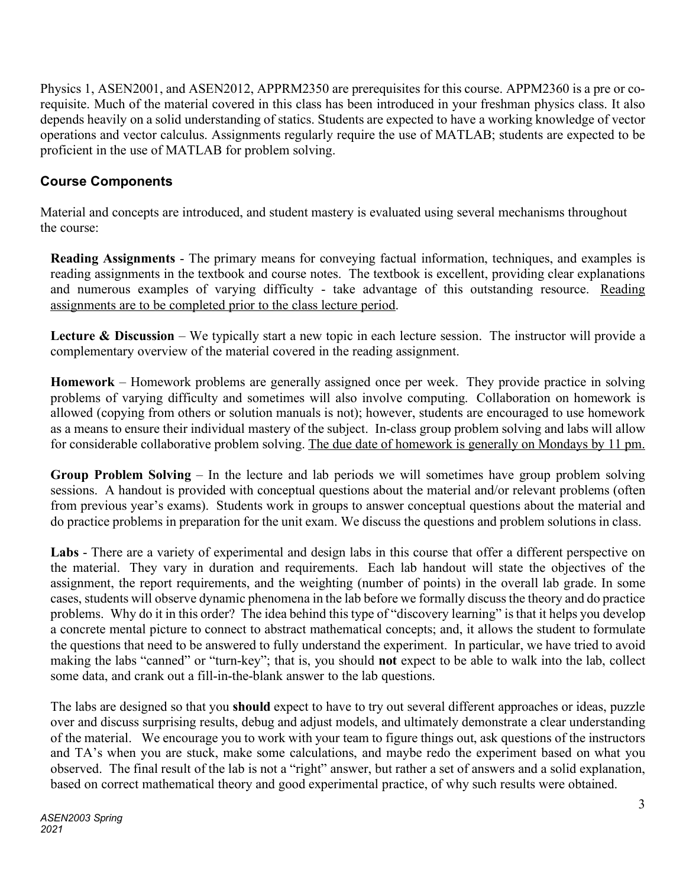Physics 1, ASEN2001, and ASEN2012, APPRM2350 are prerequisites for this course. APPM2360 is a pre or corequisite. Much of the material covered in this class has been introduced in your freshman physics class. It also depends heavily on a solid understanding of statics. Students are expected to have a working knowledge of vector operations and vector calculus. Assignments regularly require the use of MATLAB; students are expected to be proficient in the use of MATLAB for problem solving.

## **Course Components**

Material and concepts are introduced, and student mastery is evaluated using several mechanisms throughout the course:

**Reading Assignments** - The primary means for conveying factual information, techniques, and examples is reading assignments in the textbook and course notes. The textbook is excellent, providing clear explanations and numerous examples of varying difficulty - take advantage of this outstanding resource. Reading assignments are to be completed prior to the class lecture period.

**Lecture & Discussion** – We typically start a new topic in each lecture session. The instructor will provide a complementary overview of the material covered in the reading assignment.

**Homework** – Homework problems are generally assigned once per week. They provide practice in solving problems of varying difficulty and sometimes will also involve computing. Collaboration on homework is allowed (copying from others or solution manuals is not); however, students are encouraged to use homework as a means to ensure their individual mastery of the subject. In-class group problem solving and labs will allow for considerable collaborative problem solving. The due date of homework is generally on Mondays by 11 pm.

**Group Problem Solving** – In the lecture and lab periods we will sometimes have group problem solving sessions. A handout is provided with conceptual questions about the material and/or relevant problems (often from previous year's exams). Students work in groups to answer conceptual questions about the material and do practice problems in preparation for the unit exam. We discuss the questions and problem solutions in class.

**Labs** - There are a variety of experimental and design labs in this course that offer a different perspective on the material. They vary in duration and requirements. Each lab handout will state the objectives of the assignment, the report requirements, and the weighting (number of points) in the overall lab grade. In some cases, students will observe dynamic phenomena in the lab before we formally discuss the theory and do practice problems. Why do it in this order? The idea behind this type of "discovery learning" is that it helps you develop a concrete mental picture to connect to abstract mathematical concepts; and, it allows the student to formulate the questions that need to be answered to fully understand the experiment. In particular, we have tried to avoid making the labs "canned" or "turn-key"; that is, you should **not** expect to be able to walk into the lab, collect some data, and crank out a fill-in-the-blank answer to the lab questions.

The labs are designed so that you **should** expect to have to try out several different approaches or ideas, puzzle over and discuss surprising results, debug and adjust models, and ultimately demonstrate a clear understanding of the material. We encourage you to work with your team to figure things out, ask questions of the instructors and TA's when you are stuck, make some calculations, and maybe redo the experiment based on what you observed. The final result of the lab is not a "right" answer, but rather a set of answers and a solid explanation, based on correct mathematical theory and good experimental practice, of why such results were obtained.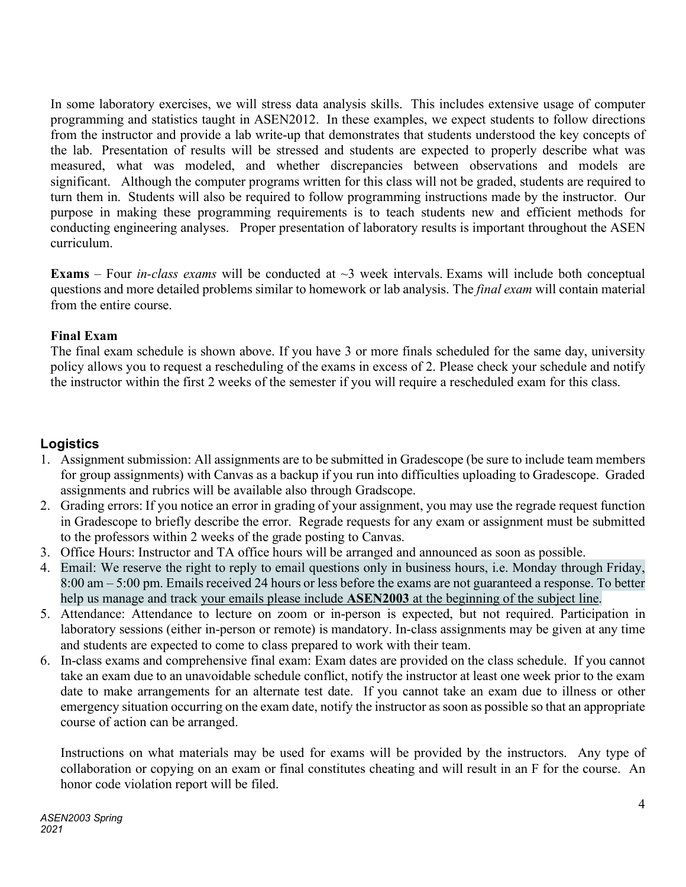In some laboratory exercises, we will stress data analysis skills. This includes extensive usage of computer programming and statistics taught in ASEN2012. In these examples, we expect students to follow directions from the instructor and provide a lab write-up that demonstrates that students understood the key concepts of the lab. Presentation of results will be stressed and students are expected to properly describe what was measured, what was modeled, and whether discrepancies between observations and models are significant. Although the computer programs written for this class will not be graded, students are required to turn them in. Students will also be required to follow programming instructions made by the instructor. Our purpose in making these programming requirements is to teach students new and efficient methods for conducting engineering analyses. Proper presentation of laboratory results is important throughout the ASEN curriculum.

**Exams** – Four *in-class exams* will be conducted at  $\sim$ 3 week intervals. Exams will include both conceptual questions and more detailed problems similar to homework or lab analysis. The *final exam* will contain material from the entire course.

### **Final Exam**

The final exam schedule is shown above. If you have 3 or more finals scheduled for the same day, university policy allows you to request a rescheduling of the exams in excess of 2. Please check your schedule and notify the instructor within the first 2 weeks of the semester if you will require a rescheduled exam for this class.

## **Logistics**

- 1. Assignment submission: All assignments are to be submitted in Gradescope (be sure to include team members for group assignments) with Canvas as a backup if you run into difficulties uploading to Gradescope. Graded assignments and rubrics will be available also through Gradscope.
- 2. Grading errors: If you notice an error in grading of your assignment, you may use the regrade request function in Gradescope to briefly describe the error. Regrade requests for any exam or assignment must be submitted to the professors within 2 weeks of the grade posting to Canvas.
- 3. Office Hours: Instructor and TA office hours will be arranged and announced as soon as possible.
- 4. Email: We reserve the right to reply to email questions only in business hours, i.e. Monday through Friday, 8:00 am – 5:00 pm. Emails received 24 hours or less before the exams are not guaranteed a response. To better help us manage and track your emails please include **ASEN2003** at the beginning of the subject line.
- 5. Attendance: Attendance to lecture on zoom or in-person is expected, but not required. Participation in laboratory sessions (either in-person or remote) is mandatory. In-class assignments may be given at any time and students are expected to come to class prepared to work with their team.
- 6. In-class exams and comprehensive final exam: Exam dates are provided on the class schedule. If you cannot take an exam due to an unavoidable schedule conflict, notify the instructor at least one week prior to the exam date to make arrangements for an alternate test date. If you cannot take an exam due to illness or other emergency situation occurring on the exam date, notify the instructor as soon as possible so that an appropriate course of action can be arranged.

Instructions on what materials may be used for exams will be provided by the instructors. Any type of collaboration or copying on an exam or final constitutes cheating and will result in an F for the course. An honor code violation report will be filed.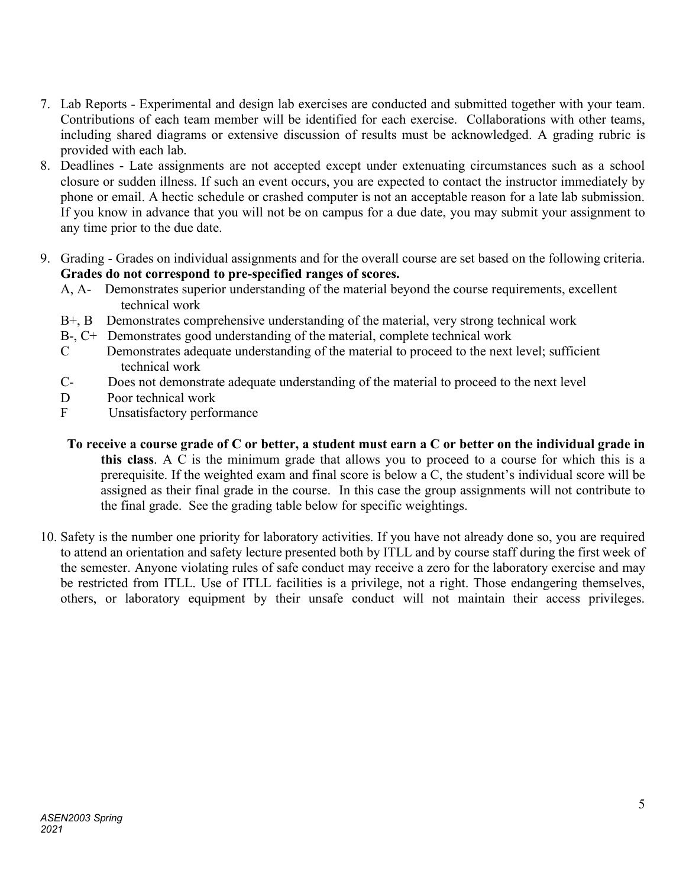- 7. Lab Reports Experimental and design lab exercises are conducted and submitted together with your team. Contributions of each team member will be identified for each exercise. Collaborations with other teams, including shared diagrams or extensive discussion of results must be acknowledged. A grading rubric is provided with each lab.
- 8. Deadlines Late assignments are not accepted except under extenuating circumstances such as a school closure or sudden illness. If such an event occurs, you are expected to contact the instructor immediately by phone or email. A hectic schedule or crashed computer is not an acceptable reason for a late lab submission. If you know in advance that you will not be on campus for a due date, you may submit your assignment to any time prior to the due date.
- 9. Grading Grades on individual assignments and for the overall course are set based on the following criteria. **Grades do not correspond to pre-specified ranges of scores.**
	- A, A- Demonstrates superior understanding of the material beyond the course requirements, excellent technical work
	- B+, B Demonstrates comprehensive understanding of the material, very strong technical work
	- B-, C+ Demonstrates good understanding of the material, complete technical work
	- C Demonstrates adequate understanding of the material to proceed to the next level; sufficient technical work
	- C- Does not demonstrate adequate understanding of the material to proceed to the next level
	- D Poor technical work
	- F Unsatisfactory performance
	- **To receive a course grade of C or better, a student must earn a C or better on the individual grade in this class**. A C is the minimum grade that allows you to proceed to a course for which this is a prerequisite. If the weighted exam and final score is below a C, the student's individual score will be assigned as their final grade in the course. In this case the group assignments will not contribute to the final grade. See the grading table below for specific weightings.
- 10. Safety is the number one priority for laboratory activities. If you have not already done so, you are required to attend an orientation and safety lecture presented both by ITLL and by course staff during the first week of the semester. Anyone violating rules of safe conduct may receive a zero for the laboratory exercise and may be restricted from ITLL. Use of ITLL facilities is a privilege, not a right. Those endangering themselves, others, or laboratory equipment by their unsafe conduct will not maintain their access privileges.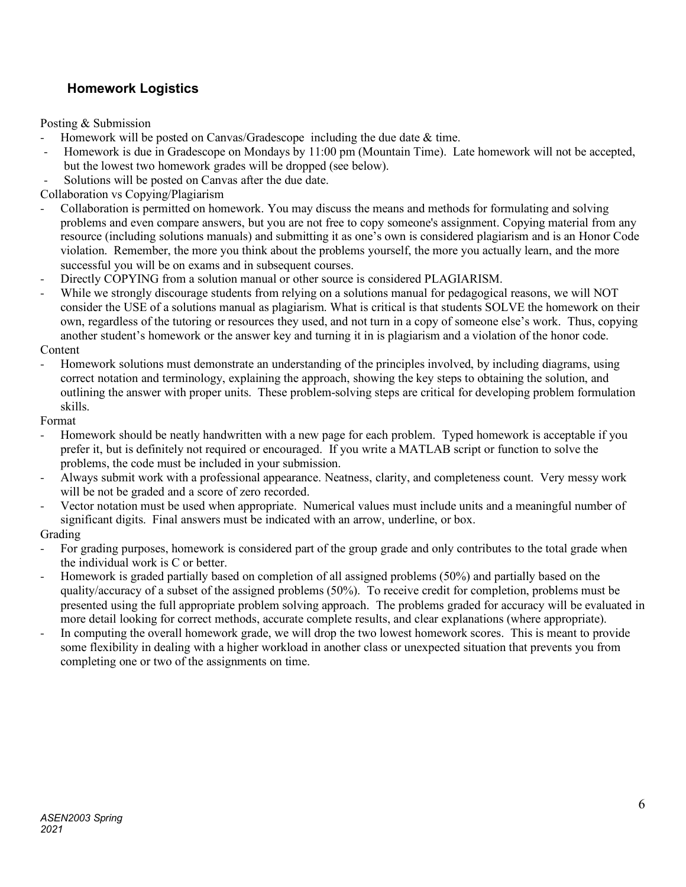## **Homework Logistics**

Posting & Submission

- Homework will be posted on Canvas/Gradescope including the due date  $&$  time.
- Homework is due in Gradescope on Mondays by 11:00 pm (Mountain Time). Late homework will not be accepted, but the lowest two homework grades will be dropped (see below).
- Solutions will be posted on Canvas after the due date.

Collaboration vs Copying/Plagiarism

- Collaboration is permitted on homework. You may discuss the means and methods for formulating and solving problems and even compare answers, but you are not free to copy someone's assignment. Copying material from any resource (including solutions manuals) and submitting it as one's own is considered plagiarism and is an Honor Code violation. Remember, the more you think about the problems yourself, the more you actually learn, and the more successful you will be on exams and in subsequent courses.
- Directly COPYING from a solution manual or other source is considered PLAGIARISM.
- While we strongly discourage students from relying on a solutions manual for pedagogical reasons, we will NOT consider the USE of a solutions manual as plagiarism. What is critical is that students SOLVE the homework on their own, regardless of the tutoring or resources they used, and not turn in a copy of someone else's work. Thus, copying another student's homework or the answer key and turning it in is plagiarism and a violation of the honor code. Content
- Homework solutions must demonstrate an understanding of the principles involved, by including diagrams, using correct notation and terminology, explaining the approach, showing the key steps to obtaining the solution, and outlining the answer with proper units. These problem-solving steps are critical for developing problem formulation skills.

Format

- Homework should be neatly handwritten with a new page for each problem. Typed homework is acceptable if you prefer it, but is definitely not required or encouraged. If you write a MATLAB script or function to solve the problems, the code must be included in your submission.
- Always submit work with a professional appearance. Neatness, clarity, and completeness count. Very messy work will be not be graded and a score of zero recorded.
- Vector notation must be used when appropriate. Numerical values must include units and a meaningful number of significant digits. Final answers must be indicated with an arrow, underline, or box.

Grading

- For grading purposes, homework is considered part of the group grade and only contributes to the total grade when the individual work is C or better.
- Homework is graded partially based on completion of all assigned problems (50%) and partially based on the quality/accuracy of a subset of the assigned problems (50%). To receive credit for completion, problems must be presented using the full appropriate problem solving approach. The problems graded for accuracy will be evaluated in more detail looking for correct methods, accurate complete results, and clear explanations (where appropriate).
- In computing the overall homework grade, we will drop the two lowest homework scores. This is meant to provide some flexibility in dealing with a higher workload in another class or unexpected situation that prevents you from completing one or two of the assignments on time.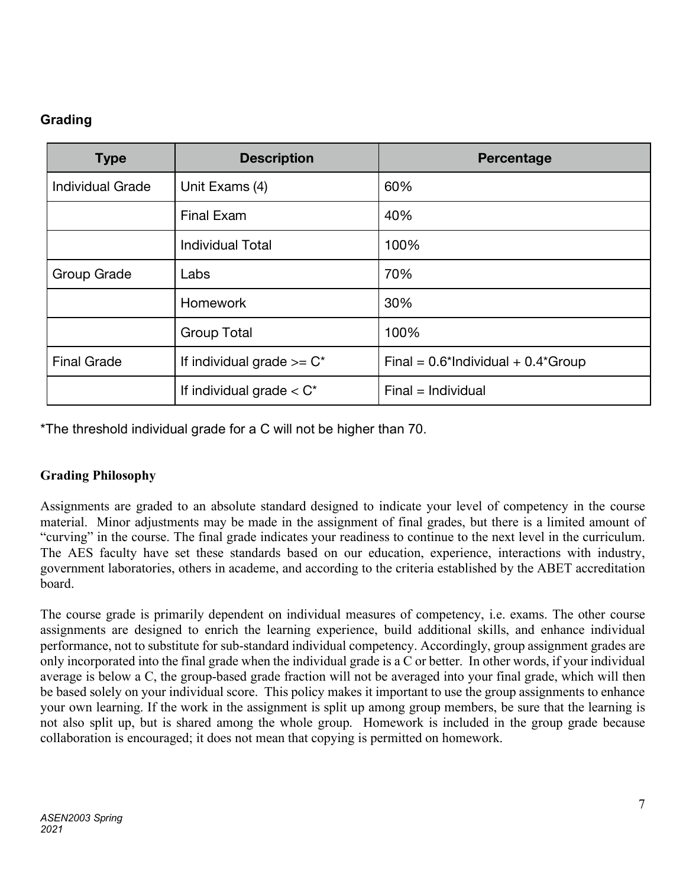## **Grading**

| <b>Type</b>             | <b>Description</b>            | Percentage                               |  |
|-------------------------|-------------------------------|------------------------------------------|--|
| <b>Individual Grade</b> | Unit Exams (4)                | 60%                                      |  |
|                         | <b>Final Exam</b>             | 40%                                      |  |
|                         | <b>Individual Total</b>       | 100%                                     |  |
| Group Grade             | Labs                          | 70%                                      |  |
|                         | <b>Homework</b>               | 30%                                      |  |
|                         | <b>Group Total</b>            | 100%                                     |  |
| <b>Final Grade</b>      | If individual grade $>= C^*$  | Final = $0.6$ *Individual + $0.4$ *Group |  |
|                         | If individual grade $<$ $C^*$ | $Final = Individual$                     |  |

\*The threshold individual grade for a C will not be higher than 70.

## **Grading Philosophy**

Assignments are graded to an absolute standard designed to indicate your level of competency in the course material. Minor adjustments may be made in the assignment of final grades, but there is a limited amount of "curving" in the course. The final grade indicates your readiness to continue to the next level in the curriculum. The AES faculty have set these standards based on our education, experience, interactions with industry, government laboratories, others in academe, and according to the criteria established by the ABET accreditation board.

The course grade is primarily dependent on individual measures of competency, i.e. exams. The other course assignments are designed to enrich the learning experience, build additional skills, and enhance individual performance, not to substitute for sub-standard individual competency. Accordingly, group assignment grades are only incorporated into the final grade when the individual grade is a C or better. In other words, if your individual average is below a C, the group-based grade fraction will not be averaged into your final grade, which will then be based solely on your individual score. This policy makes it important to use the group assignments to enhance your own learning. If the work in the assignment is split up among group members, be sure that the learning is not also split up, but is shared among the whole group. Homework is included in the group grade because collaboration is encouraged; it does not mean that copying is permitted on homework.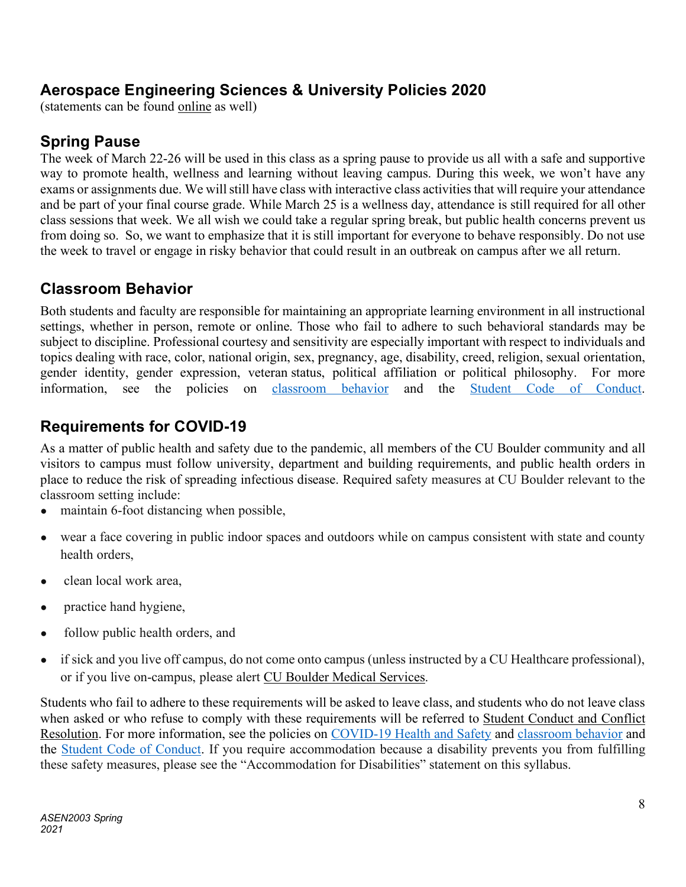## **Aerospace Engineering Sciences & University Policies 2020**

(statements can be found online as well)

# **Spring Pause**

The week of March 22-26 will be used in this class as a spring pause to provide us all with a safe and supportive way to promote health, wellness and learning without leaving campus. During this week, we won't have any exams or assignments due. We will still have class with interactive class activities that will require your attendance and be part of your final course grade. While March 25 is a wellness day, attendance is still required for all other class sessions that week. We all wish we could take a regular spring break, but public health concerns prevent us from doing so. So, we want to emphasize that it is still important for everyone to behave responsibly. Do not use the week to travel or engage in risky behavior that could result in an outbreak on campus after we all return.

## **Classroom Behavior**

Both students and faculty are responsible for maintaining an appropriate learning environment in all instructional settings, whether in person, remote or online. Those who fail to adhere to such behavioral standards may be subject to discipline. Professional courtesy and sensitivity are especially important with respect to individuals and topics dealing with race, color, national origin, sex, pregnancy, age, disability, creed, religion, sexual orientation, gender identity, gender expression, veteran status, political affiliation or political philosophy. For more information, see the policies on classroom behavior and the Student Code of Conduct.

# **Requirements for COVID-19**

As a matter of public health and safety due to the pandemic, all members of the CU Boulder community and all visitors to campus must follow university, department and building requirements, and public health orders in place to reduce the risk of spreading infectious disease. Required safety measures at CU Boulder relevant to the classroom setting include:

- maintain 6-foot distancing when possible,
- wear a face covering in public indoor spaces and outdoors while on campus consistent with state and county health orders,
- clean local work area.
- practice hand hygiene,
- follow public health orders, and
- if sick and you live off campus, do not come onto campus (unless instructed by a CU Healthcare professional), or if you live on-campus, please alert CU Boulder Medical Services.

Students who fail to adhere to these requirements will be asked to leave class, and students who do not leave class when asked or who refuse to comply with these requirements will be referred to Student Conduct and Conflict Resolution. For more information, see the policies on COVID-19 Health and Safety and classroom behavior and the Student Code of Conduct. If you require accommodation because a disability prevents you from fulfilling these safety measures, please see the "Accommodation for Disabilities" statement on this syllabus.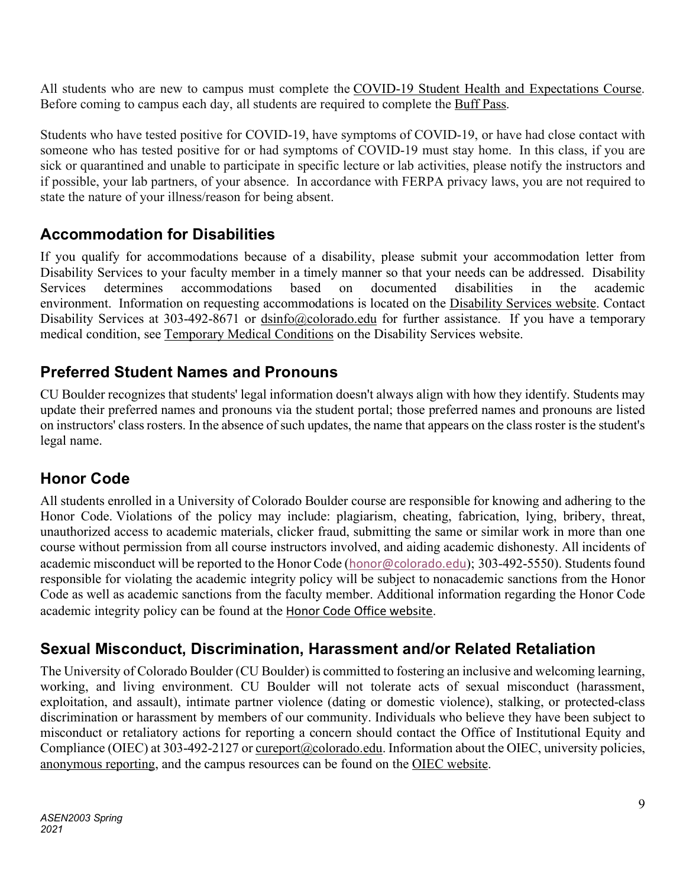All students who are new to campus must complete the COVID-19 Student Health and Expectations Course. Before coming to campus each day, all students are required to complete the Buff Pass.

Students who have tested positive for COVID-19, have symptoms of COVID-19, or have had close contact with someone who has tested positive for or had symptoms of COVID-19 must stay home. In this class, if you are sick or quarantined and unable to participate in specific lecture or lab activities, please notify the instructors and if possible, your lab partners, of your absence. In accordance with FERPA privacy laws, you are not required to state the nature of your illness/reason for being absent.

## **Accommodation for Disabilities**

If you qualify for accommodations because of a disability, please submit your accommodation letter from Disability Services to your faculty member in a timely manner so that your needs can be addressed. Disability Services determines accommodations based on documented disabilities in the academic environment. Information on requesting accommodations is located on the Disability Services website. Contact Disability Services at 303-492-8671 or dsinfo@colorado.edu for further assistance. If you have a temporary medical condition, see Temporary Medical Conditions on the Disability Services website.

## **Preferred Student Names and Pronouns**

CU Boulder recognizes that students' legal information doesn't always align with how they identify. Students may update their preferred names and pronouns via the student portal; those preferred names and pronouns are listed on instructors' class rosters. In the absence of such updates, the name that appears on the class roster is the student's legal name.

## **Honor Code**

All students enrolled in a University of Colorado Boulder course are responsible for knowing and adhering to the Honor Code. Violations of the policy may include: plagiarism, cheating, fabrication, lying, bribery, threat, unauthorized access to academic materials, clicker fraud, submitting the same or similar work in more than one course without permission from all course instructors involved, and aiding academic dishonesty. All incidents of academic misconduct will be reported to the Honor Code (honor@colorado.edu); 303-492-5550). Students found responsible for violating the academic integrity policy will be subject to nonacademic sanctions from the Honor Code as well as academic sanctions from the faculty member. Additional information regarding the Honor Code academic integrity policy can be found at the Honor Code Office website.

## **Sexual Misconduct, Discrimination, Harassment and/or Related Retaliation**

The University of Colorado Boulder (CU Boulder) is committed to fostering an inclusive and welcoming learning, working, and living environment. CU Boulder will not tolerate acts of sexual misconduct (harassment, exploitation, and assault), intimate partner violence (dating or domestic violence), stalking, or protected-class discrimination or harassment by members of our community. Individuals who believe they have been subject to misconduct or retaliatory actions for reporting a concern should contact the Office of Institutional Equity and Compliance (OIEC) at 303-492-2127 or cureport@colorado.edu. Information about the OIEC, university policies, anonymous reporting, and the campus resources can be found on the OIEC website.